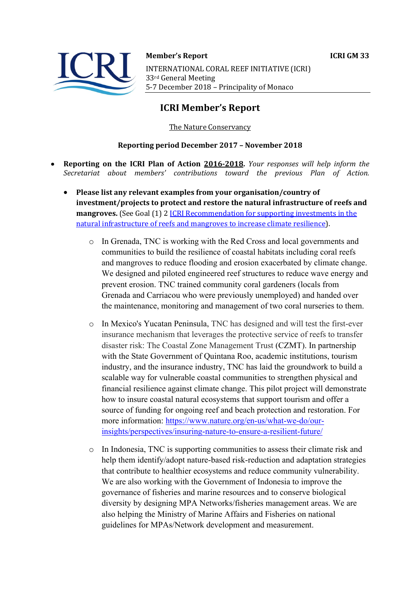# **Member's Report ICRI GM 33** INTERNATIONAL CORAL REEF INITIATIVE (ICRI) 33rd General Meeting 5-7 December 2018 - Principality of Monaco

# **ICRI Member's Report**

# The Nature Conservancy

## **Reporting period December 2017 - November 2018**

- **Reporting on the ICRI Plan of Action 2016-2018.** *Your responses will help inform the Secretariat about members' contributions toward the previous Plan of Action.*
	- Please list any relevant examples from your organisation/country of investment/projects to protect and restore the natural infrastructure of reefs and **mangroves.** (See Goal (1) 2 ICRI Recommendation for supporting investments in the natural infrastructure of reefs and mangroves to increase climate resilience).
		- o In Grenada, TNC is working with the Red Cross and local governments and communities to build the resilience of coastal habitats including coral reefs and mangroves to reduce flooding and erosion exacerbated by climate change. We designed and piloted engineered reef structures to reduce wave energy and prevent erosion. TNC trained community coral gardeners (locals from Grenada and Carriacou who were previously unemployed) and handed over the maintenance, monitoring and management of two coral nurseries to them.
		- o In Mexico's Yucatan Peninsula, TNC has designed and will test the first-ever insurance mechanism that leverages the protective service of reefs to transfer disaster risk: The Coastal Zone Management Trust (CZMT). In partnership with the State Government of Quintana Roo, academic institutions, tourism industry, and the insurance industry, TNC has laid the groundwork to build a scalable way for vulnerable coastal communities to strengthen physical and financial resilience against climate change. This pilot project will demonstrate how to insure coastal natural ecosystems that support tourism and offer a source of funding for ongoing reef and beach protection and restoration. For more information: https://www.nature.org/en-us/what-we-do/ourinsights/perspectives/insuring-nature-to-ensure-a-resilient-future/
		- o In Indonesia, TNC is supporting communities to assess their climate risk and help them identify/adopt nature-based risk-reduction and adaptation strategies that contribute to healthier ecosystems and reduce community vulnerability. We are also working with the Government of Indonesia to improve the governance of fisheries and marine resources and to conserve biological diversity by designing MPA Networks/fisheries management areas. We are also helping the Ministry of Marine Affairs and Fisheries on national guidelines for MPAs/Network development and measurement.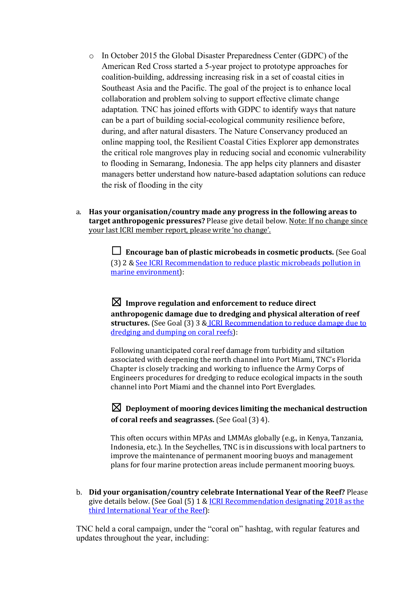- o In October 2015 the Global Disaster Preparedness Center (GDPC) of the American Red Cross started a 5-year project to prototype approaches for coalition-building, addressing increasing risk in a set of coastal cities in Southeast Asia and the Pacific. The goal of the project is to enhance local collaboration and problem solving to support effective climate change adaptation*.* TNC has joined efforts with GDPC to identify ways that nature can be a part of building social-ecological community resilience before, during, and after natural disasters. The Nature Conservancy produced an online mapping tool, the Resilient Coastal Cities Explorer app demonstrates the critical role mangroves play in reducing social and economic vulnerability to flooding in Semarang, Indonesia. The app helps city planners and disaster managers better understand how nature-based adaptation solutions can reduce the risk of flooding in the city
- a. Has your organisation/country made any progress in the following areas to **target anthropogenic pressures?** Please give detail below. Note: If no change since your last ICRI member report, please write 'no change'.

**□** Encourage ban of plastic microbeads in cosmetic products. (See Goal (3) 2 & See ICRI Recommendation to reduce plastic microbeads pollution in marine environment):

 $\boxtimes$  Improve regulation and enforcement to reduce direct anthropogenic damage due to dredging and physical alteration of reef structures. (See Goal (3) 3 & ICRI Recommendation to reduce damage due to dredging and dumping on coral reefs):

Following unanticipated coral reef damage from turbidity and siltation associated with deepening the north channel into Port Miami, TNC's Florida Chapter is closely tracking and working to influence the Army Corps of Engineers procedures for dredging to reduce ecological impacts in the south channel into Port Miami and the channel into Port Everglades.

 $\boxtimes$  Deployment of mooring devices limiting the mechanical destruction **of coral reefs and seagrasses.** (See Goal (3) 4).

This often occurs within MPAs and LMMAs globally (e.g., in Kenya, Tanzania, Indonesia, etc.). In the Seychelles, TNC is in discussions with local partners to improve the maintenance of permanent mooring buoys and management plans for four marine protection areas include permanent mooring buoys.

b. **Did your organisation/country celebrate International Year of the Reef?** Please give details below. (See Goal  $(5)$  1 & ICRI Recommendation designating 2018 as the third International Year of the Reef):

TNC held a coral campaign, under the "coral on" hashtag, with regular features and updates throughout the year, including: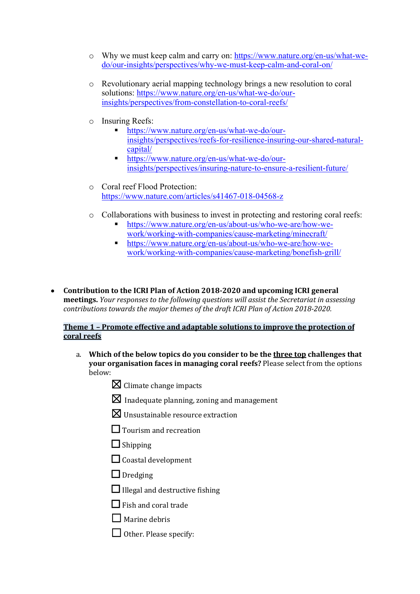- o Why we must keep calm and carry on: https://www.nature.org/en-us/what-wedo/our-insights/perspectives/why-we-must-keep-calm-and-coral-on/
- o Revolutionary aerial mapping technology brings a new resolution to coral solutions: https://www.nature.org/en-us/what-we-do/ourinsights/perspectives/from-constellation-to-coral-reefs/
- o Insuring Reefs:
	- § https://www.nature.org/en-us/what-we-do/ourinsights/perspectives/reefs-for-resilience-insuring-our-shared-naturalcapital/
	- https://www.nature.org/en-us/what-we-do/ourinsights/perspectives/insuring-nature-to-ensure-a-resilient-future/
- o Coral reef Flood Protection: https://www.nature.com/articles/s41467-018-04568-z
- o Collaborations with business to invest in protecting and restoring coral reefs:
	- § https://www.nature.org/en-us/about-us/who-we-are/how-wework/working-with-companies/cause-marketing/minecraft/
	- § https://www.nature.org/en-us/about-us/who-we-are/how-wework/working-with-companies/cause-marketing/bonefish-grill/
- Contribution to the ICRI Plan of Action 2018-2020 and upcoming ICRI general **meetings.** *Your responses to the following questions will assist the Secretariat in assessing contributions towards the major themes of the draft ICRI Plan of Action 2018-2020.*

### **Theme 1 - Promote effective and adaptable solutions to improve the protection of coral reefs**

- a. Which of the below topics do you consider to be the three top challenges that **your organisation faces in managing coral reefs?** Please select from the options below:
	- $\boxtimes$  Climate change impacts
	- $\boxtimes$  Inadequate planning, zoning and management
	- $\boxtimes$  Unsustainable resource extraction
	- $\prod$  Tourism and recreation
	- $\Box$  Shipping
	- $\Box$  Coastal development
	- □ Dredging
	- $\Box$  Illegal and destructive fishing
	- $\Box$  Fish and coral trade
	- $\Box$  Marine debris
	- $\Box$  Other. Please specify: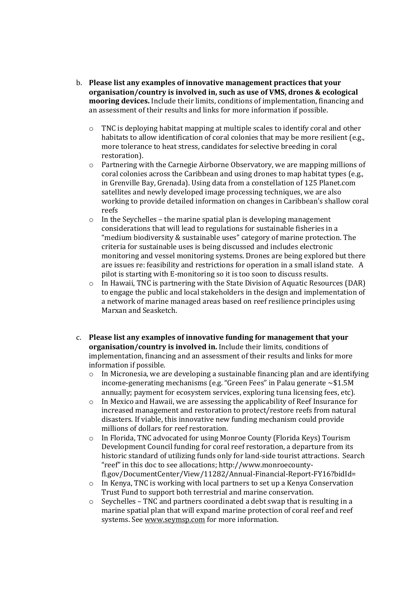- b. **Please list any examples of innovative management practices that your organisation/country is involved in, such as use of VMS, drones & ecological mooring devices.** Include their limits, conditions of implementation, financing and an assessment of their results and links for more information if possible.
	- $\circ$  TNC is deploying habitat mapping at multiple scales to identify coral and other habitats to allow identification of coral colonies that may be more resilient (e.g., more tolerance to heat stress, candidates for selective breeding in coral restoration).
	- $\circ$  Partnering with the Carnegie Airborne Observatory, we are mapping millions of coral colonies across the Caribbean and using drones to map habitat types (e.g., in Grenville Bay, Grenada). Using data from a constellation of 125 Planet.com satellites and newly developed image processing techniques, we are also working to provide detailed information on changes in Caribbean's shallow coral reefs
	- $\circ$  In the Seychelles the marine spatial plan is developing management considerations that will lead to regulations for sustainable fisheries in a "medium biodiversity & sustainable uses" category of marine protection. The criteria for sustainable uses is being discussed and includes electronic monitoring and vessel monitoring systems. Drones are being explored but there are issues re: feasibility and restrictions for operation in a small island state. A pilot is starting with E-monitoring so it is too soon to discuss results.
	- $\circ$  In Hawaii, TNC is partnering with the State Division of Aquatic Resources (DAR) to engage the public and local stakeholders in the design and implementation of a network of marine managed areas based on reef resilience principles using Marxan and Seasketch.
- c. Please list any examples of innovative funding for management that your **organisation/country is involved in.** Include their limits, conditions of implementation, financing and an assessment of their results and links for more information if possible.
	- $\circ$  In Micronesia, we are developing a sustainable financing plan and are identifying income-generating mechanisms (e.g. "Green Fees" in Palau generate  $\sim$ \$1.5M annually; payment for ecosystem services, exploring tuna licensing fees, etc).
	- $\circ$  In Mexico and Hawaii, we are assessing the applicability of Reef Insurance for increased management and restoration to protect/restore reefs from natural disasters. If viable, this innovative new funding mechanism could provide millions of dollars for reef restoration.
	- o In Florida, TNC advocated for using Monroe County (Florida Keys) Tourism Development Council funding for coral reef restoration, a departure from its historic standard of utilizing funds only for land-side tourist attractions. Search "reef" in this doc to see allocations; http://www.monroecountyfl.gov/DocumentCenter/View/11282/Annual-Financial-Report-FY16?bidId=
	- $\circ$  In Kenya, TNC is working with local partners to set up a Kenya Conservation Trust Fund to support both terrestrial and marine conservation.
	- $\circ$  Seychelles TNC and partners coordinated a debt swap that is resulting in a marine spatial plan that will expand marine protection of coral reef and reef systems. See www.seymsp.com for more information.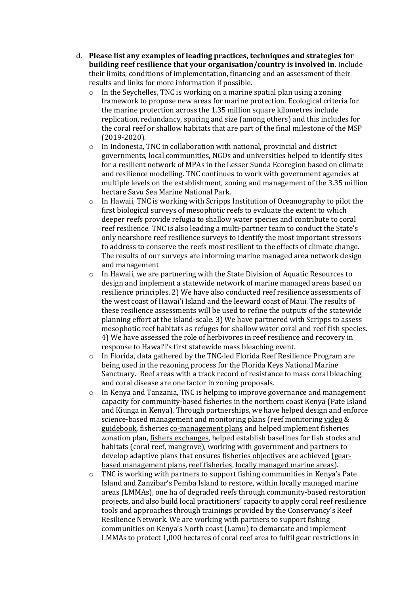- d. Please list any examples of leading practices, techniques and strategies for **building reef resilience that your organisation/country is involved in.** Include their limits, conditions of implementation, financing and an assessment of their results and links for more information if possible.
	- $\circ$  In the Seychelles, TNC is working on a marine spatial plan using a zoning framework to propose new areas for marine protection. Ecological criteria for the marine protection across the 1.35 million square kilometres include replication, redundancy, spacing and size (among others) and this includes for the coral reef or shallow habitats that are part of the final milestone of the MSP (2019-2020).
	- $\circ$  In Indonesia, TNC in collaboration with national, provincial and district governments, local communities, NGOs and universities helped to identify sites for a resilient network of MPAs in the Lesser Sunda Ecoregion based on climate and resilience modelling. TNC continues to work with government agencies at multiple levels on the establishment, zoning and management of the 3.35 million hectare Savu Sea Marine National Park.
	- $\circ$  In Hawaii, TNC is working with Scripps Institution of Oceanography to pilot the first biological surveys of mesophotic reefs to evaluate the extent to which deeper reefs provide refugia to shallow water species and contribute to coral reef resilience. TNC is also leading a multi-partner team to conduct the State's only nearshore reef resilience surveys to identify the most important stressors to address to conserve the reefs most resilient to the effects of climate change. The results of our surveys are informing marine managed area network design and management
	- $\circ$  In Hawaii, we are partnering with the State Division of Aquatic Resources to design and implement a statewide network of marine managed areas based on resilience principles. 2) We have also conducted reef resilience assessments of the west coast of Hawai'i Island and the leeward coast of Maui. The results of these resilience assessments will be used to refine the outputs of the statewide planning effort at the island-scale. 3) We have partnered with Scripps to assess mesophotic reef habitats as refuges for shallow water coral and reef fish species. 4) We have assessed the role of herbivores in reef resilience and recovery in response to Hawai'i's first statewide mass bleaching event.
	- $\circ$  In Florida, data gathered by the TNC-led Florida Reef Resilience Program are being used in the rezoning process for the Florida Keys National Marine Sanctuary. Reef areas with a track record of resistance to mass coral bleaching and coral disease are one factor in zoning proposals.
	- $\circ$  In Kenya and Tanzania, TNC is helping to improve governance and management capacity for community-based fisheries in the northern coast Kenya (Pate Island and Kiunga in Kenya). Through partnerships, we have helped design and enforce science-based management and monitoring plans (reef monitoring video & guidebook, fisheries co-management plans and helped implement fisheries zonation plan, fishers exchanges, helped establish baselines for fish stocks and habitats (coral reef, mangrove), working with government and partners to develop adaptive plans that ensures fisheries objectives are achieved (gearbased management plans, reef fisheries, locally managed marine areas).
	- $\circ$  TNC is working with partners to support fishing communities in Kenya's Pate Island and Zanzibar's Pemba Island to restore, within locally managed marine areas (LMMAs), one ha of degraded reefs through community-based restoration projects, and also build local practitioners' capacity to apply coral reef resilience tools and approaches through trainings provided by the Conservancy's Reef Resilience Network. We are working with partners to support fishing communities on Kenya's North coast (Lamu) to demarcate and implement LMMAs to protect  $1,000$  hectares of coral reef area to fulfil gear restrictions in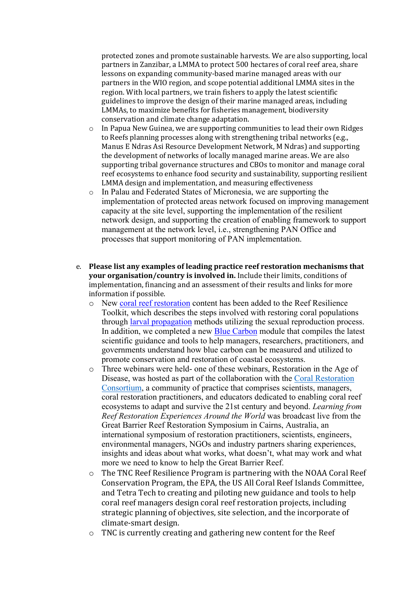protected zones and promote sustainable harvests. We are also supporting, local partners in Zanzibar, a LMMA to protect 500 hectares of coral reef area, share lessons on expanding community-based marine managed areas with our partners in the WIO region, and scope potential additional LMMA sites in the region. With local partners, we train fishers to apply the latest scientific guidelines to improve the design of their marine managed areas, including LMMAs, to maximize benefits for fisheries management, biodiversity conservation and climate change adaptation.

- $\circ$  In Papua New Guinea, we are supporting communities to lead their own Ridges to Reefs planning processes along with strengthening tribal networks (e.g., Manus E Ndras Asi Resource Development Network, M Ndras) and supporting the development of networks of locally managed marine areas. We are also supporting tribal governance structures and CBOs to monitor and manage coral reef ecosystems to enhance food security and sustainability, supporting resilient LMMA design and implementation, and measuring effectiveness
- o In Palau and Federated States of Micronesia, we are supporting the implementation of protected areas network focused on improving management capacity at the site level, supporting the implementation of the resilient network design, and supporting the creation of enabling framework to support management at the network level, i.e., strengthening PAN Office and processes that support monitoring of PAN implementation.
- e. Please list any examples of leading practice reef restoration mechanisms that **your organisation/country is involved in.** Include their limits, conditions of implementation, financing and an assessment of their results and links for more information if possible.
	- o New coral reef restoration content has been added to the Reef Resilience Toolkit, which describes the steps involved with restoring coral populations through larval propagation methods utilizing the sexual reproduction process. In addition, we completed a new Blue Carbon module that compiles the latest scientific guidance and tools to help managers, researchers, practitioners, and governments understand how blue carbon can be measured and utilized to promote conservation and restoration of coastal ecosystems.
	- o Three webinars were held- one of these webinars, Restoration in the Age of Disease, was hosted as part of the collaboration with the Coral Restoration Consortium, a community of practice that comprises scientists, managers, coral restoration practitioners, and educators dedicated to enabling coral reef ecosystems to adapt and survive the 21st century and beyond. *Learning from Reef Restoration Experiences Around the World* was broadcast live from the Great Barrier Reef Restoration Symposium in Cairns, Australia, an international symposium of restoration practitioners, scientists, engineers, environmental managers, NGOs and industry partners sharing experiences, insights and ideas about what works, what doesn't, what may work and what more we need to know to help the Great Barrier Reef.
	- $\circ$  The TNC Reef Resilience Program is partnering with the NOAA Coral Reef Conservation Program, the EPA, the US All Coral Reef Islands Committee, and Tetra Tech to creating and piloting new guidance and tools to help coral reef managers design coral reef restoration projects, including strategic planning of objectives, site selection, and the incorporate of climate-smart design.
	- $\circ$  TNC is currently creating and gathering new content for the Reef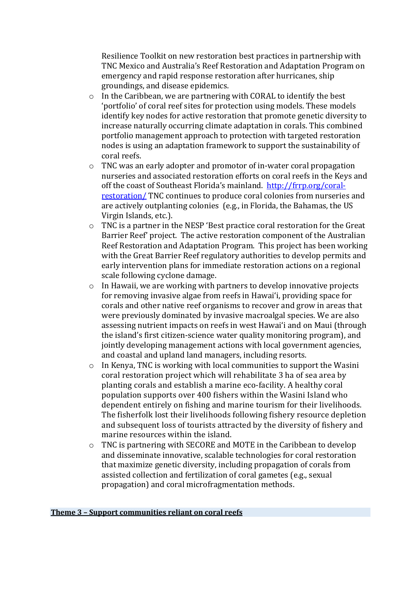Resilience Toolkit on new restoration best practices in partnership with TNC Mexico and Australia's Reef Restoration and Adaptation Program on emergency and rapid response restoration after hurricanes, ship groundings, and disease epidemics.

- $\circ$  In the Caribbean, we are partnering with CORAL to identify the best 'portfolio' of coral reef sites for protection using models. These models identify key nodes for active restoration that promote genetic diversity to increase naturally occurring climate adaptation in corals. This combined portfolio management approach to protection with targeted restoration nodes is using an adaptation framework to support the sustainability of coral reefs.
- $\circ$  TNC was an early adopter and promotor of in-water coral propagation nurseries and associated restoration efforts on coral reefs in the Keys and off the coast of Southeast Florida's mainland. http://frrp.org/coralrestoration/ TNC continues to produce coral colonies from nurseries and are actively outplanting colonies (e.g., in Florida, the Bahamas, the US Virgin Islands, etc.).
- $\circ$  TNC is a partner in the NESP 'Best practice coral restoration for the Great Barrier Reef' project. The active restoration component of the Australian Reef Restoration and Adaptation Program. This project has been working with the Great Barrier Reef regulatory authorities to develop permits and early intervention plans for immediate restoration actions on a regional scale following cyclone damage.
- $\circ$  In Hawaii, we are working with partners to develop innovative projects for removing invasive algae from reefs in Hawai'i, providing space for corals and other native reef organisms to recover and grow in areas that were previously dominated by invasive macroalgal species. We are also assessing nutrient impacts on reefs in west Hawai'i and on Maui (through the island's first citizen-science water quality monitoring program), and jointly developing management actions with local government agencies, and coastal and upland land managers, including resorts.
- $\circ$  In Kenya, TNC is working with local communities to support the Wasini coral restoration project which will rehabilitate 3 ha of sea area by planting corals and establish a marine eco-facility. A healthy coral population supports over 400 fishers within the Wasini Island who dependent entirely on fishing and marine tourism for their livelihoods. The fisherfolk lost their livelihoods following fishery resource depletion and subsequent loss of tourists attracted by the diversity of fishery and marine resources within the island.
- $\circ$  TNC is partnering with SECORE and MOTE in the Caribbean to develop and disseminate innovative, scalable technologies for coral restoration that maximize genetic diversity, including propagation of corals from assisted collection and fertilization of coral gametes (e.g., sexual propagation) and coral microfragmentation methods.

#### **Theme 3 - Support communities reliant on coral reefs**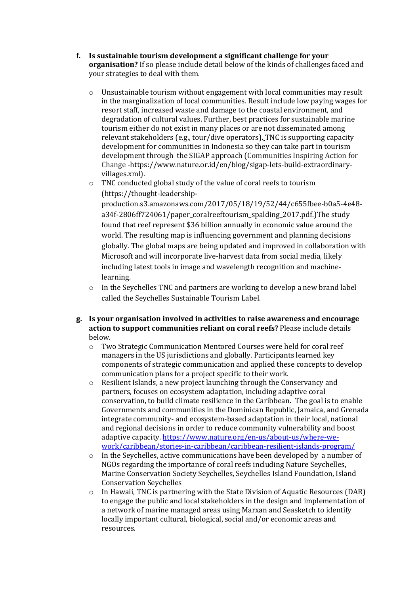- **f.** Is sustainable tourism development a significant challenge for your **organisation?** If so please include detail below of the kinds of challenges faced and your strategies to deal with them.
	- $\circ$  Unsustainable tourism without engagement with local communities may result in the marginalization of local communities. Result include low paying wages for resort staff, increased waste and damage to the coastal environment, and degradation of cultural values. Further, best practices for sustainable marine tourism either do not exist in many places or are not disseminated among relevant stakeholders (e.g., tour/dive operators). TNC is supporting capacity development for communities in Indonesia so they can take part in tourism development through the SIGAP approach (Communities Inspiring Action for Change -https://www.nature.or.id/en/blog/sigap-lets-build-extraordinaryvillages.xml).
	- $\circ$  TNC conducted global study of the value of coral reefs to tourism (https://thought-leadership-

production.s3.amazonaws.com/2017/05/18/19/52/44/c655fbee-b0a5-4e48 a34f-2806ff724061/paper\_coralreeftourism\_spalding\_2017.pdf.)The study found that reef represent \$36 billion annually in economic value around the world. The resulting map is influencing government and planning decisions globally. The global maps are being updated and improved in collaboration with Microsoft and will incorporate live-harvest data from social media, likely including latest tools in image and wavelength recognition and machinelearning. 

- $\circ$  In the Seychelles TNC and partners are working to develop a new brand label called the Seychelles Sustainable Tourism Label.
- **g.** Is your organisation involved in activities to raise awareness and encourage action to support communities reliant on coral reefs? Please include details below.
	- $\circ$  Two Strategic Communication Mentored Courses were held for coral reef managers in the US jurisdictions and globally. Participants learned key components of strategic communication and applied these concepts to develop communication plans for a project specific to their work.
	- o Resilient Islands, a new project launching through the Conservancy and partners, focuses on ecosystem adaptation, including adaptive coral conservation, to build climate resilience in the Caribbean. The goal is to enable Governments and communities in the Dominican Republic, Jamaica, and Grenada integrate community- and ecosystem-based adaptation in their local, national and regional decisions in order to reduce community vulnerability and boost adaptive capacity. https://www.nature.org/en-us/about-us/where-wework/caribbean/stories-in-caribbean/caribbean-resilient-islands-program/
	- $\circ$  In the Seychelles, active communications have been developed by a number of NGOs regarding the importance of coral reefs including Nature Seychelles, Marine Conservation Society Seychelles, Seychelles Island Foundation, Island Conservation Seychelles
	- $\circ$  In Hawaii, TNC is partnering with the State Division of Aquatic Resources (DAR) to engage the public and local stakeholders in the design and implementation of a network of marine managed areas using Marxan and Seasketch to identify locally important cultural, biological, social and/or economic areas and resources.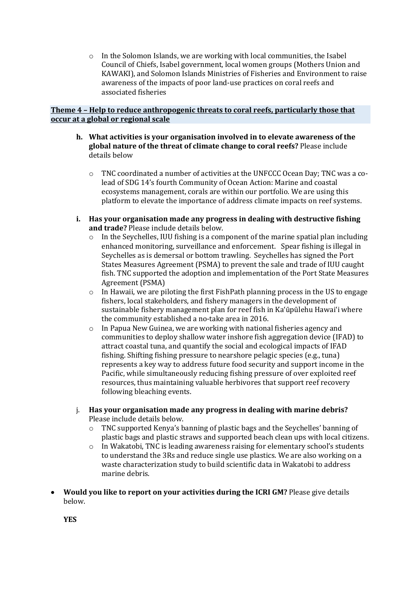$\circ$  In the Solomon Islands, we are working with local communities, the Isabel Council of Chiefs, Isabel government, local women groups (Mothers Union and KAWAKI), and Solomon Islands Ministries of Fisheries and Environment to raise awareness of the impacts of poor land-use practices on coral reefs and associated fisheries

#### **Theme 4 - Help to reduce anthropogenic threats to coral reefs, particularly those that occur at a global or regional scale**

- **h.** What activities is your organisation involved in to elevate awareness of the **global nature of the threat of climate change to coral reefs?** Please include details helow
	- o TNC coordinated a number of activities at the UNFCCC Ocean Day; TNC was a colead of SDG 14's fourth Community of Ocean Action: Marine and coastal ecosystems management, corals are within our portfolio. We are using this platform to elevate the importance of address climate impacts on reef systems.
- **i.** Has your organisation made any progress in dealing with destructive fishing and trade? Please include details below.
	- $\circ$  In the Seychelles, IUU fishing is a component of the marine spatial plan including enhanced monitoring, surveillance and enforcement. Spear fishing is illegal in Seychelles as is demersal or bottom trawling. Seychelles has signed the Port States Measures Agreement (PSMA) to prevent the sale and trade of IUU caught fish. TNC supported the adoption and implementation of the Port State Measures Agreement (PSMA)
	- $\circ$  In Hawaii, we are piloting the first FishPath planning process in the US to engage fishers, local stakeholders, and fishery managers in the development of sustainable fishery management plan for reef fish in Ka'ūpūlehu Hawai'i where the community established a no-take area in 2016.
	- $\circ$  In Papua New Guinea, we are working with national fisheries agency and communities to deploy shallow water inshore fish aggregation device (IFAD) to attract coastal tuna, and quantify the social and ecological impacts of IFAD fishing. Shifting fishing pressure to nearshore pelagic species (e.g., tuna) represents a key way to address future food security and support income in the Pacific, while simultaneously reducing fishing pressure of over exploited reef resources, thus maintaining valuable herbivores that support reef recovery following bleaching events.
- j. Has your organisation made any progress in dealing with marine debris? Please include details below.
	- $\circ$  TNC supported Kenya's banning of plastic bags and the Seychelles' banning of plastic bags and plastic straws and supported beach clean ups with local citizens.
	- $\circ$  In Wakatobi, TNC is leading awareness raising for elementary school's students to understand the 3Rs and reduce single use plastics. We are also working on a waste characterization study to build scientific data in Wakatobi to address marine debris.
- Would you like to report on your activities during the ICRI GM? Please give details below.

**YES**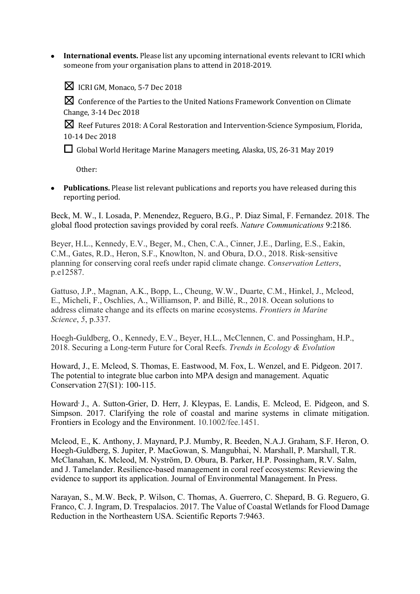**International events.** Please list any upcoming international events relevant to ICRI which someone from your organisation plans to attend in 2018-2019.

 $\boxtimes$  ICRI GM, Monaco, 5-7 Dec 2018

 $\boxtimes$  Conference of the Parties to the United Nations Framework Convention on Climate Change, 3-14 Dec 2018

**⊠** Reef Futures 2018: A Coral Restoration and Intervention-Science Symposium, Florida, 10-14 Dec 2018

□ Global World Heritage Marine Managers meeting, Alaska, US, 26-31 May 2019

Other: 

• Publications. Please list relevant publications and reports you have released during this reporting period.

Beck, M. W., I. Losada, P. Menendez, Reguero, B.G., P. Diaz Simal, F. Fernandez. 2018. The global flood protection savings provided by coral reefs. *Nature Communications* 9:2186.

Beyer, H.L., Kennedy, E.V., Beger, M., Chen, C.A., Cinner, J.E., Darling, E.S., Eakin, C.M., Gates, R.D., Heron, S.F., Knowlton, N. and Obura, D.O., 2018. Risk-sensitive planning for conserving coral reefs under rapid climate change. *Conservation Letters*, p.e12587.

Gattuso, J.P., Magnan, A.K., Bopp, L., Cheung, W.W., Duarte, C.M., Hinkel, J., Mcleod, E., Micheli, F., Oschlies, A., Williamson, P. and Billé, R., 2018. Ocean solutions to address climate change and its effects on marine ecosystems. *Frontiers in Marine Science*, *5*, p.337.

Hoegh-Guldberg, O., Kennedy, E.V., Beyer, H.L., McClennen, C. and Possingham, H.P., 2018. Securing a Long-term Future for Coral Reefs. *Trends in Ecology & Evolution*

Howard, J., E. Mcleod, S. Thomas, E. Eastwood, M. Fox, L. Wenzel, and E. Pidgeon. 2017. The potential to integrate blue carbon into MPA design and management. Aquatic Conservation 27(S1): 100-115.

Howard, J., A. Sutton-Grier, D. Herr, J. Kleypas, E. Landis, E. Mcleod, E. Pidgeon, and S. Simpson. 2017. Clarifying the role of coastal and marine systems in climate mitigation. Frontiers in Ecology and the Environment. 10.1002/fee.1451.

Mcleod, E., K. Anthony, J. Maynard, P.J. Mumby, R. Beeden, N.A.J. Graham, S.F. Heron, O. Hoegh-Guldberg, S. Jupiter, P. MacGowan, S. Mangubhai, N. Marshall, P. Marshall, T.R. McClanahan, K. Mcleod, M. Nyström, D. Obura, B. Parker, H.P. Possingham, R.V. Salm, and J. Tamelander. Resilience-based management in coral reef ecosystems: Reviewing the evidence to support its application. Journal of Environmental Management. In Press.

Narayan, S., M.W. Beck, P. Wilson, C. Thomas, A. Guerrero, C. Shepard, B. G. Reguero, G. Franco, C. J. Ingram, D. Trespalacios. 2017. The Value of Coastal Wetlands for Flood Damage Reduction in the Northeastern USA. Scientific Reports 7:9463.